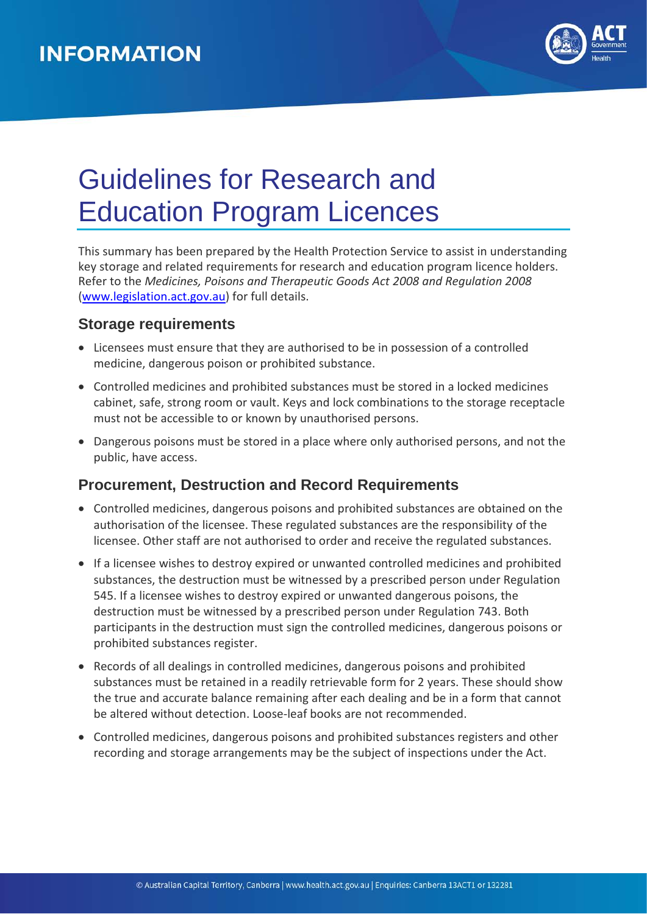

# Guidelines for Research and Education Program Licences

This summary has been prepared by the Health Protection Service to assist in understanding key storage and related requirements for research and education program licence holders. Refer to the *Medicines, Poisons and Therapeutic Goods Act 2008 and Regulation 2008* [\(www.legislation.act.gov.au\)](http://www.legislation.act.gov.au/) for full details.

### **Storage requirements**

- Licensees must ensure that they are authorised to be in possession of a controlled medicine, dangerous poison or prohibited substance.
- Controlled medicines and prohibited substances must be stored in a locked medicines cabinet, safe, strong room or vault. Keys and lock combinations to the storage receptacle must not be accessible to or known by unauthorised persons.
- Dangerous poisons must be stored in a place where only authorised persons, and not the public, have access.

### **Procurement, Destruction and Record Requirements**

- Controlled medicines, dangerous poisons and prohibited substances are obtained on the authorisation of the licensee. These regulated substances are the responsibility of the licensee. Other staff are not authorised to order and receive the regulated substances.
- If a licensee wishes to destroy expired or unwanted controlled medicines and prohibited substances, the destruction must be witnessed by a prescribed person under Regulation 545. If a licensee wishes to destroy expired or unwanted dangerous poisons, the destruction must be witnessed by a prescribed person under Regulation 743. Both participants in the destruction must sign the controlled medicines, dangerous poisons or prohibited substances register.
- Records of all dealings in controlled medicines, dangerous poisons and prohibited substances must be retained in a readily retrievable form for 2 years. These should show the true and accurate balance remaining after each dealing and be in a form that cannot be altered without detection. Loose-leaf books are not recommended.
- Controlled medicines, dangerous poisons and prohibited substances registers and other recording and storage arrangements may be the subject of inspections under the Act.